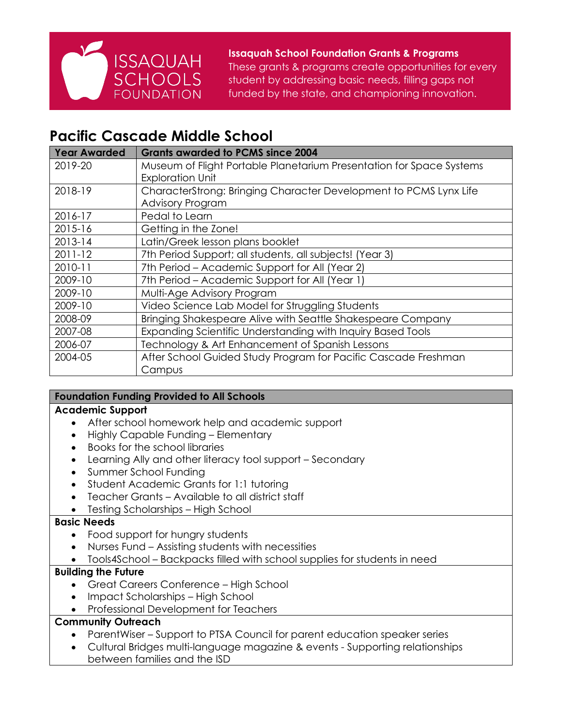

**Issaquah School Foundation Grants & Programs** These grants & programs create opportunities for every student by addressing basic needs, filling gaps not funded by the state, and championing innovation.

# **Pacific Cascade Middle School**

| Year Awarded | <b>Grants awarded to PCMS since 2004</b>                             |
|--------------|----------------------------------------------------------------------|
| 2019-20      | Museum of Flight Portable Planetarium Presentation for Space Systems |
|              | <b>Exploration Unit</b>                                              |
| 2018-19      | CharacterStrong: Bringing Character Development to PCMS Lynx Life    |
|              | <b>Advisory Program</b>                                              |
| 2016-17      | Pedal to Learn                                                       |
| 2015-16      | Getting in the Zone!                                                 |
| 2013-14      | Latin/Greek lesson plans booklet                                     |
| $2011 - 12$  | 7th Period Support; all students, all subjects! (Year 3)             |
| 2010-11      | 7th Period - Academic Support for All (Year 2)                       |
| 2009-10      | 7th Period – Academic Support for All (Year 1)                       |
| 2009-10      | Multi-Age Advisory Program                                           |
| 2009-10      | Video Science Lab Model for Struggling Students                      |
| 2008-09      | Bringing Shakespeare Alive with Seattle Shakespeare Company          |
| 2007-08      | Expanding Scientific Understanding with Inquiry Based Tools          |
| 2006-07      | Technology & Art Enhancement of Spanish Lessons                      |
| 2004-05      | After School Guided Study Program for Pacific Cascade Freshman       |
|              | Campus                                                               |

# **Foundation Funding Provided to All Schools**

## **Academic Support**

- After school homework help and academic support
- Highly Capable Funding Elementary
- Books for the school libraries
- Learning Ally and other literacy tool support Secondary
- Summer School Funding
- Student Academic Grants for 1:1 tutoring
- Teacher Grants Available to all district staff
- Testing Scholarships High School

## **Basic Needs**

- Food support for hungry students
- Nurses Fund Assisting students with necessities
- Tools4School Backpacks filled with school supplies for students in need

## **Building the Future**

- Great Careers Conference High School
- Impact Scholarships High School
- Professional Development for Teachers

## **Community Outreach**

- ParentWiser Support to PTSA Council for parent education speaker series
- Cultural Bridges multi-language magazine & events Supporting relationships between families and the ISD